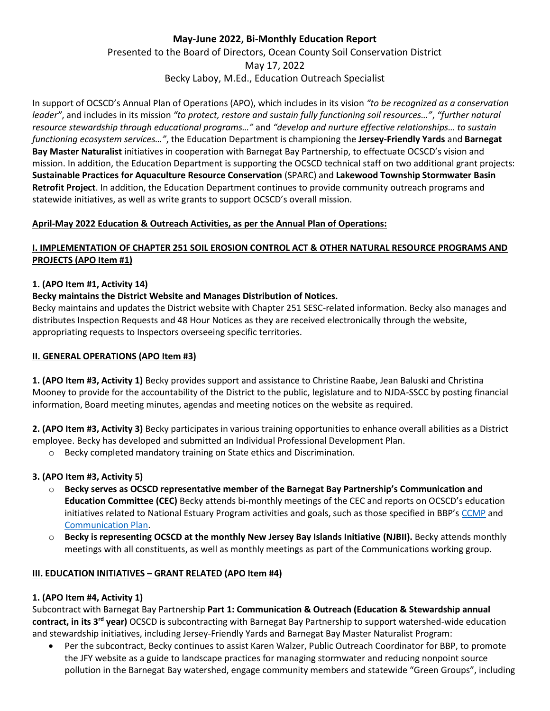# **May-June 2022, Bi-Monthly Education Report** Presented to the Board of Directors, Ocean County Soil Conservation District May 17, 2022 Becky Laboy, M.Ed., Education Outreach Specialist

In support of OCSCD's Annual Plan of Operations (APO), which includes in its vision *"to be recognized as a conservation leader"*, and includes in its mission *"to protect, restore and sustain fully functioning soil resources…"*, *"further natural resource stewardship through educational programs…"* and *"develop and nurture effective relationships… to sustain functioning ecosystem services…"*, the Education Department is championing the **Jersey-Friendly Yards** and **Barnegat Bay Master Naturalist** initiatives in cooperation with Barnegat Bay Partnership, to effectuate OCSCD's vision and mission. In addition, the Education Department is supporting the OCSCD technical staff on two additional grant projects: **Sustainable Practices for Aquaculture Resource Conservation** (SPARC) and **Lakewood Township Stormwater Basin Retrofit Project**. In addition, the Education Department continues to provide community outreach programs and statewide initiatives, as well as write grants to support OCSCD's overall mission.

### **April-May 2022 Education & Outreach Activities, as per the Annual Plan of Operations:**

## **I. IMPLEMENTATION OF CHAPTER 251 SOIL EROSION CONTROL ACT & OTHER NATURAL RESOURCE PROGRAMS AND PROJECTS (APO Item #1)**

### **1. (APO Item #1, Activity 14)**

### **Becky maintains the District Website and Manages Distribution of Notices.**

Becky maintains and updates the District website with Chapter 251 SESC-related information. Becky also manages and distributes Inspection Requests and 48 Hour Notices as they are received electronically through the website, appropriating requests to Inspectors overseeing specific territories.

### **II. GENERAL OPERATIONS (APO Item #3)**

**1. (APO Item #3, Activity 1)** Becky provides support and assistance to Christine Raabe, Jean Baluski and Christina Mooney to provide for the accountability of the District to the public, legislature and to NJDA-SSCC by posting financial information, Board meeting minutes, agendas and meeting notices on the website as required.

**2. (APO Item #3, Activity 3)** Becky participates in various training opportunities to enhance overall abilities as a District employee. Becky has developed and submitted an Individual Professional Development Plan.

o Becky completed mandatory training on State ethics and Discrimination.

### **3. (APO Item #3, Activity 5)**

- o **Becky serves as OCSCD representative member of the Barnegat Bay Partnership's Communication and Education Committee (CEC)** Becky attends bi-monthly meetings of the CEC and reports on OCSCD's education initiatives related to National Estuary Program activities and goals, such as those specified in BBP's [CCMP](https://www.barnegatbaypartnership.org/wp-content/uploads/2021/10/BBP-CCMP-2021-for-web-FINAL.pdf) and [Communication Plan.](http://www.barnegatbaypartnership.org/wp-content/uploads/2017/09/Comm-Plan-2012-2016-FINAL-approved-by-AC-2-11-14-1.pdf)
- o **Becky is representing OCSCD at the monthly New Jersey Bay Islands Initiative (NJBII).** Becky attends monthly meetings with all constituents, as well as monthly meetings as part of the Communications working group.

### **III. EDUCATION INITIATIVES – GRANT RELATED (APO Item #4)**

### **1. (APO Item #4, Activity 1)**

Subcontract with Barnegat Bay Partnership **Part 1: Communication & Outreach (Education & Stewardship annual contract, in its 3rd year)** OCSCD is subcontracting with Barnegat Bay Partnership to support watershed-wide education and stewardship initiatives, including Jersey-Friendly Yards and Barnegat Bay Master Naturalist Program:

• Per the subcontract, Becky continues to assist Karen Walzer, Public Outreach Coordinator for BBP, to promote the JFY website as a guide to landscape practices for managing stormwater and reducing nonpoint source pollution in the Barnegat Bay watershed, engage community members and statewide "Green Groups", including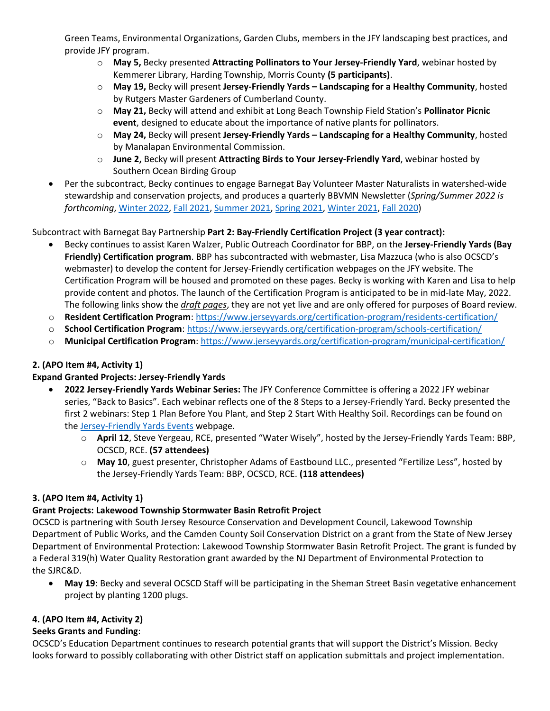Green Teams, Environmental Organizations, Garden Clubs, members in the JFY landscaping best practices, and provide JFY program.

- o **May 5,** Becky presented **Attracting Pollinators to Your Jersey-Friendly Yard**, webinar hosted by Kemmerer Library, Harding Township, Morris County **(5 participants)**.
- o **May 19,** Becky will present **Jersey-Friendly Yards – Landscaping for a Healthy Community**, hosted by Rutgers Master Gardeners of Cumberland County.
- o **May 21,** Becky will attend and exhibit at Long Beach Township Field Station's **Pollinator Picnic event**, designed to educate about the importance of native plants for pollinators.
- o **May 24,** Becky will present **Jersey-Friendly Yards – Landscaping for a Healthy Community**, hosted by Manalapan Environmental Commission.
- o **June 2,** Becky will present **Attracting Birds to Your Jersey-Friendly Yard**, webinar hosted by Southern Ocean Birding Group
- Per the subcontract, Becky continues to engage Barnegat Bay Volunteer Master Naturalists in watershed-wide stewardship and conservation projects, and produces a quarterly BBVMN Newsletter (*Spring/Summer 2022 is forthcoming*, [Winter 2022,](https://www.barnegatbaypartnership.org/wp-content/uploads/2022/01/BBVMN-Newsletter-Winter-2022-reduced-size.pdf) [Fall 2021,](https://www.barnegatbaypartnership.org/wp-content/uploads/2021/10/The-Naturalist-Fall-2021.pdf) [Summer 2021,](https://files.constantcontact.com/c3c03434101/4999343d-1018-4139-968f-2dbc69273fc9.pdf) [Spring 2021,](https://myemail.constantcontact.com/The-Naturalist---Spring-2021.html?soid=1104935062588&aid=kr12gg3P_qA) [Winter 2021,](https://www.barnegatbaypartnership.org/wp-content/uploads/2021/01/The-Naturalist-Winter-2021.pdf) Fall [2020\)](https://www.barnegatbaypartnership.org/wp-content/uploads/2021/01/The-Naturalist-Autumn-2020.pdf)

# Subcontract with Barnegat Bay Partnership **Part 2: Bay-Friendly Certification Project (3 year contract):**

- Becky continues to assist Karen Walzer, Public Outreach Coordinator for BBP, on the **Jersey-Friendly Yards (Bay Friendly) Certification program**. BBP has subcontracted with webmaster, Lisa Mazzuca (who is also OCSCD's webmaster) to develop the content for Jersey-Friendly certification webpages on the JFY website. The Certification Program will be housed and promoted on these pages. Becky is working with Karen and Lisa to help provide content and photos. The launch of the Certification Program is anticipated to be in mid-late May, 2022. The following links show the *draft pages*, they are not yet live and are only offered for purposes of Board review.
- o **Resident Certification Program**:<https://www.jerseyyards.org/certification-program/residents-certification/>
- o **School Certification Program**:<https://www.jerseyyards.org/certification-program/schools-certification/>
- o **Municipal Certification Program**:<https://www.jerseyyards.org/certification-program/municipal-certification/>

### **2. (APO Item #4, Activity 1)**

### **Expand Granted Projects: Jersey-Friendly Yards**

- **2022 Jersey-Friendly Yards Webinar Series:** The JFY Conference Committee is offering a 2022 JFY webinar series, "Back to Basics". Each webinar reflects one of the 8 Steps to a Jersey-Friendly Yard. Becky presented the first 2 webinars: Step 1 Plan Before You Plant, and Step 2 Start With Healthy Soil. Recordings can be found on th[e Jersey-Friendly Yards Events](https://www.jerseyyards.org/events/2022-webinar-series/) webpage.
	- o **April 12**, Steve Yergeau, RCE, presented "Water Wisely", hosted by the Jersey-Friendly Yards Team: BBP, OCSCD, RCE. **(57 attendees)**
	- o **May 10**, guest presenter, Christopher Adams of Eastbound LLC., presented "Fertilize Less", hosted by the Jersey-Friendly Yards Team: BBP, OCSCD, RCE. **(118 attendees)**

### **3. (APO Item #4, Activity 1)**

### **Grant Projects: Lakewood Township Stormwater Basin Retrofit Project**

OCSCD is partnering with South Jersey Resource Conservation and Development Council, Lakewood Township Department of Public Works, and the Camden County Soil Conservation District on a grant from the State of New Jersey Department of Environmental Protection: Lakewood Township Stormwater Basin Retrofit Project. The grant is funded by a Federal 319(h) Water Quality Restoration grant awarded by the NJ Department of Environmental Protection to the SJRC&D.

• **May 19**: Becky and several OCSCD Staff will be participating in the Sheman Street Basin vegetative enhancement project by planting 1200 plugs.

### **4. (APO Item #4, Activity 2)**

### **Seeks Grants and Funding**:

OCSCD's Education Department continues to research potential grants that will support the District's Mission. Becky looks forward to possibly collaborating with other District staff on application submittals and project implementation.